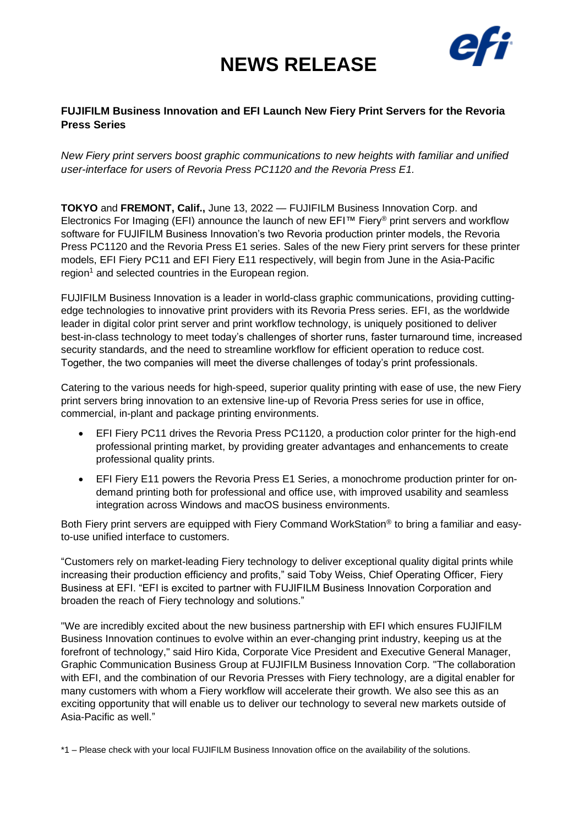## **NEWS RELEASE**



### **FUJIFILM Business Innovation and EFI Launch New Fiery Print Servers for the Revoria Press Series**

*New Fiery print servers boost graphic communications to new heights with familiar and unified user-interface for users of Revoria Press PC1120 and the Revoria Press E1.*

**TOKYO** and **FREMONT, Calif.,** June 13, 2022 — FUJIFILM Business Innovation Corp. and Electronics For Imaging (EFI) announce the launch of new EFI™ Fiery® print servers and workflow software for FUJIFILM Business Innovation's two Revoria production printer models, the Revoria Press PC1120 and the Revoria Press E1 series. Sales of the new Fiery print servers for these printer models, EFI Fiery PC11 and EFI Fiery E11 respectively, will begin from June in the Asia-Pacific region<sup>1</sup> and selected countries in the European region.

FUJIFILM Business Innovation is a leader in world-class graphic communications, providing cuttingedge technologies to innovative print providers with its Revoria Press series. EFI, as the worldwide leader in digital color print server and print workflow technology, is uniquely positioned to deliver best-in-class technology to meet today's challenges of shorter runs, faster turnaround time, increased security standards, and the need to streamline workflow for efficient operation to reduce cost. Together, the two companies will meet the diverse challenges of today's print professionals.

Catering to the various needs for high-speed, superior quality printing with ease of use, the new Fiery print servers bring innovation to an extensive line-up of Revoria Press series for use in office, commercial, in-plant and package printing environments.

- EFI Fiery PC11 drives the Revoria Press PC1120, a production color printer for the high-end professional printing market, by providing greater advantages and enhancements to create professional quality prints.
- EFI Fiery E11 powers the Revoria Press E1 Series, a monochrome production printer for ondemand printing both for professional and office use, with improved usability and seamless integration across Windows and macOS business environments.

Both Fiery print servers are equipped with Fiery Command WorkStation<sup>®</sup> to bring a familiar and easyto-use unified interface to customers.

"Customers rely on market-leading Fiery technology to deliver exceptional quality digital prints while increasing their production efficiency and profits," said Toby Weiss, Chief Operating Officer, Fiery Business at EFI. "EFI is excited to partner with FUJIFILM Business Innovation Corporation and broaden the reach of Fiery technology and solutions."

"We are incredibly excited about the new business partnership with EFI which ensures FUJIFILM Business Innovation continues to evolve within an ever-changing print industry, keeping us at the forefront of technology," said Hiro Kida, Corporate Vice President and Executive General Manager, Graphic Communication Business Group at FUJIFILM Business Innovation Corp. "The collaboration with EFI, and the combination of our Revoria Presses with Fiery technology, are a digital enabler for many customers with whom a Fiery workflow will accelerate their growth. We also see this as an exciting opportunity that will enable us to deliver our technology to several new markets outside of Asia-Pacific as well."

\*1 – Please check with your local FUJIFILM Business Innovation office on the availability of the solutions.